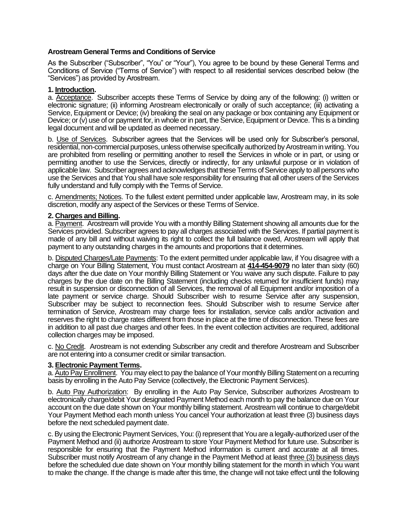# **Arostream General Terms and Conditions of Service**

As the Subscriber ("Subscriber", "You" or "Your"), You agree to be bound by these General Terms and Conditions of Service ("Terms of Service") with respect to all residential services described below (the "Services") as provided by Arostream.

## **1. Introduction.**

a. Acceptance. Subscriber accepts these Terms of Service by doing any of the following: (i) written or electronic signature; (ii) informing Arostream electronically or orally of such acceptance; (iii) activating a Service, Equipment or Device; (iv) breaking the seal on any package or box containing any Equipment or Device; or (v) use of or payment for, in whole or in part, the Service, Equipment or Device. This is a binding legal document and will be updated as deemed necessary.

b. Use of Services. Subscriber agrees that the Services will be used only for Subscriber's personal, residential, non-commercial purposes, unless otherwise specifically authorized by Arostream in writing. You are prohibited from reselling or permitting another to resell the Services in whole or in part, or using or permitting another to use the Services, directly or indirectly, for any unlawful purpose or in violation of applicable law. Subscriber agrees and acknowledges that these Terms of Service apply to all persons who use the Services and that You shall have sole responsibility for ensuring that all other users of the Services fully understand and fully comply with the Terms of Service.

c. Amendments; Notices. To the fullest extent permitted under applicable law, Arostream may, in its sole discretion, modify any aspect of the Services or these Terms of Service.

## **2. Charges and Billing.**

a. Payment. Arostream will provide You with a monthly Billing Statement showing all amounts due for the Services provided. Subscriber agrees to pay all charges associated with the Services. If partial payment is made of any bill and without waiving its right to collect the full balance owed, Arostream will apply that payment to any outstanding charges in the amounts and proportions that it determines.

b. Disputed Charges/Late Payments: To the extent permitted under applicable law, if You disagree with a charge on Your Billing Statement, You must contact Arostream at **414-454-9079** no later than sixty (60) days after the due date on Your monthly Billing Statement or You waive any such dispute. Failure to pay charges by the due date on the Billing Statement (including checks returned for insufficient funds) may result in suspension or disconnection of all Services, the removal of all Equipment and/or imposition of a late payment or service charge. Should Subscriber wish to resume Service after any suspension, Subscriber may be subject to reconnection fees. Should Subscriber wish to resume Service after termination of Service, Arostream may charge fees for installation, service calls and/or activation and reserves the right to charge rates different from those in place at the time of disconnection. These fees are in addition to all past due charges and other fees. In the event collection activities are required, additional collection charges may be imposed.

c. No Credit. Arostream is not extending Subscriber any credit and therefore Arostream and Subscriber are not entering into a consumer credit or similar transaction.

### **3. Electronic Payment Terms.**

a. Auto Pay Enrollment. You may elect to pay the balance of Your monthly Billing Statement on a recurring basis by enrolling in the Auto Pay Service (collectively, the Electronic Payment Services).

b. Auto Pay Authorization: By enrolling in the Auto Pay Service, Subscriber authorizes Arostream to electronically charge/debit Your designated Payment Method each month to pay the balance due on Your account on the due date shown on Your monthly billing statement. Arostream will continue to charge/debit Your Payment Method each month unless You cancel Your authorization at least three (3) business days before the next scheduled payment date.

c. By using the Electronic Payment Services, You: (i) represent that You are a legally-authorized user of the Payment Method and (ii) authorize Arostream to store Your Payment Method for future use. Subscriber is responsible for ensuring that the Payment Method information is current and accurate at all times. Subscriber must notify Arostream of any change in the Payment Method at least three (3) business days before the scheduled due date shown on Your monthly billing statement for the month in which You want to make the change. If the change is made after this time, the change will not take effect until the following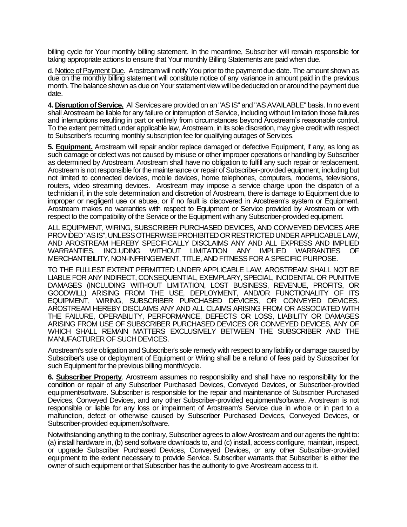billing cycle for Your monthly billing statement. In the meantime, Subscriber will remain responsible for taking appropriate actions to ensure that Your monthly Billing Statements are paid when due.

d. Notice of Payment Due. Arostream will notify You prior to the payment due date. The amount shown as due on the monthly billing statement will constitute notice of any variance in amount paid in the previous month. The balance shown as due on Your statement view will be deducted on or around the payment due date.

**4. Disruption of Service.** All Services are provided on an "AS IS" and "AS AVAILABLE" basis. In no event shall Arostream be liable for any failure or interruption of Service, including without limitation those failures and interruptions resulting in part or entirely from circumstances beyond Arostream's reasonable control. To the extent permitted under applicable law, Arostream, in its sole discretion, may give credit with respect to Subscriber's recurring monthly subscription fee for qualifying outages of Services.

**5. Equipment.** Arostream will repair and/or replace damaged or defective Equipment, if any, as long as such damage or defect was not caused by misuse or other improper operations or handling by Subscriber as determined by Arostream. Arostream shall have no obligation to fulfill any such repair or replacement. Arostream is not responsible for the maintenance or repair of Subscriber-provided equipment, including but not limited to connected devices, mobile devices, home telephones, computers, modems, televisions, routers, video streaming devices. Arostream may impose a service charge upon the dispatch of a technician if, in the sole determination and discretion of Arostream, there is damage to Equipment due to improper or negligent use or abuse, or if no fault is discovered in Arostream's system or Equipment. Arostream makes no warranties with respect to Equipment or Service provided by Arostream or with respect to the compatibility of the Service or the Equipment with any Subscriber-provided equipment.

ALL EQUIPMENT, WIRING, SUBSCRIBER PURCHASED DEVICES, AND CONVEYED DEVICES ARE PROVIDED "AS IS", UNLESS OTHERWISE PROHIBITED OR RESTRICTED UNDER APPLICABLE LAW, AND AROSTREAM HEREBY SPECIFICALLY DISCLAIMS ANY AND ALL EXPRESS AND IMPLIED WARRANTIES, INCLUDING WITHOUT LIMITATION ANY IMPLIED WARRANTIES OF MERCHANTIBILITY, NON-INFRINGEMENT, TITLE, AND FITNESS FOR A SPECIFIC PURPOSE.

TO THE FULLEST EXTENT PERMITTED UNDER APPLICABLE LAW, AROSTREAM SHALL NOT BE LIABLE FOR ANY INDIRECT, CONSEQUENTIAL, EXEMPLARY, SPECIAL, INCIDENTAL OR PUNITIVE DAMAGES (INCLUDING WITHOUT LIMITATION, LOST BUSINESS, REVENUE, PROFITS, OR GOODWILL) ARISING FROM THE USE, DEPLOYMENT, AND/OR FUNCTIONALITY OF ITS EQUIPMENT, WIRING, SUBSCRIBER PURCHASED DEVICES, OR CONVEYED DEVICES. AROSTREAM HEREBY DISCLAIMS ANY AND ALL CLAIMS ARISING FROM OR ASSOCIATED WITH THE FAILURE, OPERABILITY, PERFORMANCE, DEFECTS OR LOSS, LIABILITY OR DAMAGES ARISING FROM USE OF SUBSCRIBER PURCHASED DEVICES OR CONVEYED DEVICES, ANY OF WHICH SHALL REMAIN MATTERS EXCLUSIVELY BETWEEN THE SUBSCRIBER AND THE MANUFACTURER OF SUCH DEVICES.

Arostream's sole obligation and Subscriber's sole remedy with respect to any liability or damage caused by Subscriber's use or deployment of Equipment or Wiring shall be a refund of fees paid by Subscriber for such Equipment for the previous billing month/cycle.

**6. Subscriber Property**. Arostream assumes no responsibility and shall have no responsibility for the condition or repair of any Subscriber Purchased Devices, Conveyed Devices, or Subscriber-provided equipment/software. Subscriber is responsible for the repair and maintenance of Subscriber Purchased Devices, Conveyed Devices, and any other Subscriber-provided equipment/software. Arostream is not responsible or liable for any loss or impairment of Arostream's Service due in whole or in part to a malfunction, defect or otherwise caused by Subscriber Purchased Devices, Conveyed Devices, or Subscriber-provided equipment/software.

Notwithstanding anything to the contrary, Subscriber agrees to allow Arostream and our agents the right to: (a) install hardware in, (b) send software downloads to, and (c) install, access configure, maintain, inspect, or upgrade Subscriber Purchased Devices, Conveyed Devices, or any other Subscriber-provided equipment to the extent necessary to provide Service. Subscriber warrants that Subscriber is either the owner of such equipment or that Subscriber has the authority to give Arostream access to it.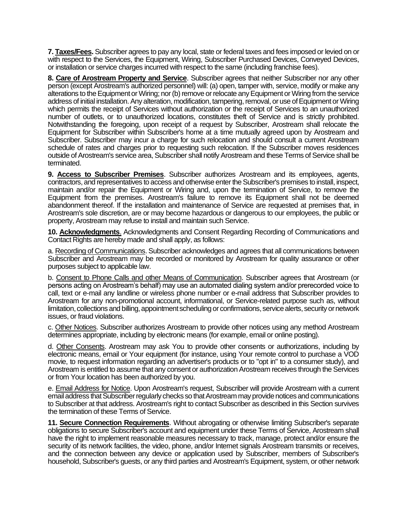**7. Taxes/Fees.** Subscriber agrees to pay any local, state or federal taxes and fees imposed or levied on or with respect to the Services, the Equipment, Wiring, Subscriber Purchased Devices, Conveyed Devices, or installation or service charges incurred with respect to the same (including franchise fees).

**8. Care of Arostream Property and Service**. Subscriber agrees that neither Subscriber nor any other person (except Arostream's authorized personnel) will: (a) open, tamper with, service, modify or make any alterations to the Equipment or Wiring; nor (b) remove or relocate any Equipment or Wiring from the service address of initial installation. Any alteration, modification, tampering, removal, or use of Equipment or Wiring which permits the receipt of Services without authorization or the receipt of Services to an unauthorized number of outlets, or to unauthorized locations, constitutes theft of Service and is strictly prohibited. Notwithstanding the foregoing, upon receipt of a request by Subscriber, Arostream shall relocate the Equipment for Subscriber within Subscriber's home at a time mutually agreed upon by Arostream and Subscriber. Subscriber may incur a charge for such relocation and should consult a current Arostream schedule of rates and charges prior to requesting such relocation. If the Subscriber moves residences outside of Arostream's service area, Subscriber shall notify Arostream and these Terms of Service shall be terminated.

**9. Access to Subscriber Premises**. Subscriber authorizes Arostream and its employees, agents, contractors, and representatives to access and otherwise enter the Subscriber's premises to install, inspect, maintain and/or repair the Equipment or Wiring and, upon the termination of Service, to remove the Equipment from the premises. Arostream's failure to remove its Equipment shall not be deemed abandonment thereof. If the installation and maintenance of Service are requested at premises that, in Arostream's sole discretion, are or may become hazardous or dangerous to our employees, the public or property, Arostream may refuse to install and maintain such Service.

**10. Acknowledgments**. Acknowledgments and Consent Regarding Recording of Communications and Contact Rights are hereby made and shall apply, as follows:

a. Recording of Communications. Subscriber acknowledges and agrees that all communications between Subscriber and Arostream may be recorded or monitored by Arostream for quality assurance or other purposes subject to applicable law.

b. Consent to Phone Calls and other Means of Communication. Subscriber agrees that Arostream (or persons acting on Arostream's behalf) may use an automated dialing system and/or prerecorded voice to call, text or e-mail any landline or wireless phone number or e-mail address that Subscriber provides to Arostream for any non-promotional account, informational, or Service-related purpose such as, without limitation, collections and billing, appointment scheduling or confirmations, service alerts, security or network issues, or fraud violations.

c. Other Notices. Subscriber authorizes Arostream to provide other notices using any method Arostream determines appropriate, including by electronic means (for example, email or online posting).

d. Other Consents. Arostream may ask You to provide other consents or authorizations, including by electronic means, email or Your equipment (for instance, using Your remote control to purchase a VOD movie, to request information regarding an advertiser's products or to "opt in" to a consumer study), and Arostream is entitled to assume that any consent or authorization Arostream receives through the Services or from Your location has been authorized by you.

e. Email Address for Notice. Upon Arostream's request, Subscriber will provide Arostream with a current email address that Subscriber regularly checks so that Arostream may provide notices and communications to Subscriber at that address. Arostream's right to contact Subscriber as described in this Section survives the termination of these Terms of Service.

**11. Secure Connection Requirements**. Without abrogating or otherwise limiting Subscriber's separate obligations to secure Subscriber's account and equipment under these Terms of Service, Arostream shall have the right to implement reasonable measures necessary to track, manage, protect and/or ensure the security of its network facilities, the video, phone, and/or Internet signals Arostream transmits or receives, and the connection between any device or application used by Subscriber, members of Subscriber's household, Subscriber's guests, or any third parties and Arostream's Equipment, system, or other network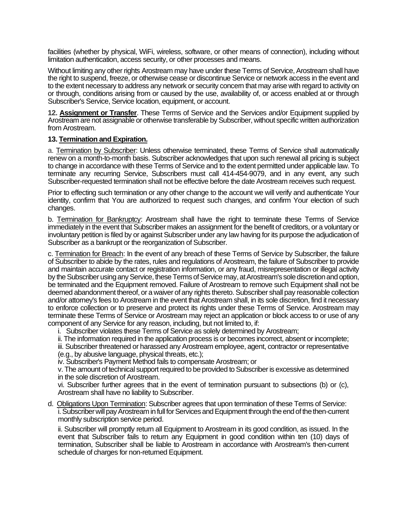facilities (whether by physical, WiFi, wireless, software, or other means of connection), including without limitation authentication, access security, or other processes and means.

Without limiting any other rights Arostream may have under these Terms of Service, Arostream shall have the right to suspend, freeze, or otherwise cease or discontinue Service or network access in the event and to the extent necessary to address any network or security concern that may arise with regard to activity on or through, conditions arising from or caused by the use, availability of, or access enabled at or through Subscriber's Service, Service location, equipment, or account.

**12. Assignment or Transfer**. These Terms of Service and the Services and/or Equipment supplied by Arostream are not assignable or otherwise transferable by Subscriber, without specific written authorization from Arostream.

### **13. Termination and Expiration.**

a. Termination by Subscriber: Unless otherwise terminated, these Terms of Service shall automatically renew on a month-to-month basis. Subscriber acknowledges that upon such renewal all pricing is subject to change in accordance with these Terms of Service and to the extent permitted under applicable law. To terminate any recurring Service, Subscribers must call 414-454-9079, and in any event, any such Subscriber-requested termination shall not be effective before the date Arostream receives such request.

Prior to effecting such termination or any other change to the account we will verify and authenticate Your identity, confirm that You are authorized to request such changes, and confirm Your election of such changes.

b. Termination for Bankruptcy: Arostream shall have the right to terminate these Terms of Service immediately in the event that Subscriber makes an assignment for the benefit of creditors, or a voluntary or involuntary petition is filed by or against Subscriber under any law having for its purpose the adjudication of Subscriber as a bankrupt or the reorganization of Subscriber.

c. Termination for Breach: In the event of any breach of these Terms of Service by Subscriber, the failure of Subscriber to abide by the rates, rules and regulations of Arostream, the failure of Subscriber to provide and maintain accurate contact or registration information, or any fraud, misrepresentation or illegal activity by the Subscriber using any Service, these Terms of Service may, at Arostream's sole discretion and option, be terminated and the Equipment removed. Failure of Arostream to remove such Equipment shall not be deemed abandonment thereof, or a waiver of any rights thereto. Subscriber shall pay reasonable collection and/or attorney's fees to Arostream in the event that Arostream shall, in its sole discretion, find it necessary to enforce collection or to preserve and protect its rights under these Terms of Service. Arostream may terminate these Terms of Service or Arostream may reject an application or block access to or use of any component of any Service for any reason, including, but not limited to, if:

- i. Subscriber violates these Terms of Service as solely determined by Arostream;
- ii. The information required in the application process is or becomes incorrect, absent or incomplete;
- iii. Subscriber threatened or harassed any Arostream employee, agent, contractor or representative

(e.g., by abusive language, physical threats, etc.);

iv. Subscriber's Payment Method fails to compensate Arostream; or

v. The amount of technical support required to be provided to Subscriber is excessive as determined in the sole discretion of Arostream.

vi. Subscriber further agrees that in the event of termination pursuant to subsections (b) or (c), Arostream shall have no liability to Subscriber.

d. Obligations Upon Termination: Subscriber agrees that upon termination of these Terms of Service: i. Subscriber will pay Arostream in full for Services and Equipment through the end of the then-current monthly subscription service period.

ii. Subscriber will promptly return all Equipment to Arostream in its good condition, as issued. In the event that Subscriber fails to return any Equipment in good condition within ten (10) days of termination, Subscriber shall be liable to Arostream in accordance with Arostream's then-current schedule of charges for non-returned Equipment.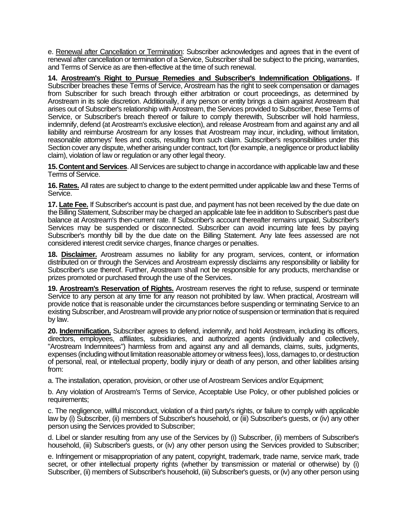e. Renewal after Cancellation or Termination: Subscriber acknowledges and agrees that in the event of renewal after cancellation or termination of a Service, Subscriber shall be subject to the pricing, warranties, and Terms of Service as are then-effective at the time of such renewal.

**14. Arostream's Right to Pursue Remedies and Subscriber's Indemnification Obligations.** If Subscriber breaches these Terms of Service, Arostream has the right to seek compensation or damages from Subscriber for such breach through either arbitration or court proceedings, as determined by Arostream in its sole discretion. Additionally, if any person or entity brings a claim against Arostream that arises out of Subscriber's relationship with Arostream, the Services provided to Subscriber, these Terms of Service, or Subscriber's breach thereof or failure to comply therewith, Subscriber will hold harmless, indemnify, defend (at Arostream's exclusive election), and release Arostream from and against any and all liability and reimburse Arostream for any losses that Arostream may incur, including, without limitation, reasonable attorneys' fees and costs, resulting from such claim. Subscriber's responsibilities under this Section cover any dispute, whether arising under contract, tort (for example, a negligence or product liability claim), violation of law or regulation or any other legal theory.

**15. Content and Services**. All Services are subject to change in accordance with applicable law and these Terms of Service.

**16. Rates.** All rates are subject to change to the extent permitted under applicable law and these Terms of Service.

**17. Late Fee.** If Subscriber's account is past due, and payment has not been received by the due date on the Billing Statement, Subscriber may be charged an applicable late fee in addition to Subscriber's past due balance at Arostream's then-current rate. If Subscriber's account thereafter remains unpaid, Subscriber's Services may be suspended or disconnected. Subscriber can avoid incurring late fees by paying Subscriber's monthly bill by the due date on the Billing Statement. Any late fees assessed are not considered interest credit service charges, finance charges or penalties.

**18. Disclaimer.** Arostream assumes no liability for any program, services, content, or information distributed on or through the Services and Arostream expressly disclaims any responsibility or liability for Subscriber's use thereof. Further, Arostream shall not be responsible for any products, merchandise or prizes promoted or purchased through the use of the Services.

**19. Arostream's Reservation of Rights.** Arostream reserves the right to refuse, suspend or terminate Service to any person at any time for any reason not prohibited by law. When practical, Arostream will provide notice that is reasonable under the circumstances before suspending or terminating Service to an existing Subscriber, and Arostream will provide any prior notice of suspension or termination that is required by law.

**20. Indemnification.** Subscriber agrees to defend, indemnify, and hold Arostream, including its officers, directors, employees, affiliates, subsidiaries, and authorized agents (individually and collectively, "Arostream Indemnitees") harmless from and against any and all demands, claims, suits, judgments, expenses (including without limitation reasonable attorney or witness fees), loss, damages to, or destruction of personal, real, or intellectual property, bodily injury or death of any person, and other liabilities arising from:

a. The installation, operation, provision, or other use of Arostream Services and/or Equipment;

b. Any violation of Arostream's Terms of Service, Acceptable Use Policy, or other published policies or requirements:

c. The negligence, willful misconduct, violation of a third party's rights, or failure to comply with applicable law by (i) Subscriber, (ii) members of Subscriber's household, or (iii) Subscriber's guests, or (iv) any other person using the Services provided to Subscriber;

d. Libel or slander resulting from any use of the Services by (i) Subscriber, (ii) members of Subscriber's household, (iii) Subscriber's guests, or (iv) any other person using the Services provided to Subscriber;

e. Infringement or misappropriation of any patent, copyright, trademark, trade name, service mark, trade secret, or other intellectual property rights (whether by transmission or material or otherwise) by (i) Subscriber, (ii) members of Subscriber's household, (iii) Subscriber's guests, or (iv) any other person using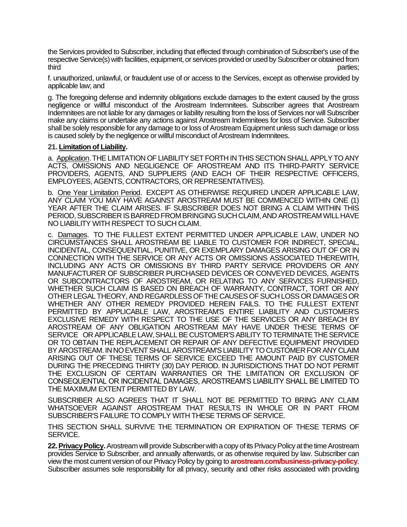the Services provided to Subscriber, including that effected through combination of Subscriber's use of the respective Service(s) with facilities, equipment, or services provided or used by Subscriber or obtained from third parties;

f. unauthorized, unlawful, or fraudulent use of or access to the Services, except as otherwise provided by applicable law; and

g. The foregoing defense and indemnity obligations exclude damages to the extent caused by the gross negligence or willful misconduct of the Arostream Indemnitees. Subscriber agrees that Arostream Indemnitees are not liable for any damages or liability resulting from the loss of Services nor will Subscriber make any claims or undertake any actions against Arostream Indemnitees for loss of Service. Subscriber shall be solely responsible for any damage to or loss of Arostream Equipment unless such damage or loss is caused solely by the negligence or willful misconduct of Arostream Indemnitees.

#### **21. Limitation of Liability.**

a. Application. THE LIMITATION OF LIABILITY SET FORTH IN THIS SECTION SHALL APPLY TO ANY ACTS, OMISSIONS AND NEGLIGENCE OF AROSTREAM AND ITS THIRD-PARTY SERVICE PROVIDERS, AGENTS, AND SUPPLIERS (AND EACH OF THEIR RESPECTIVE OFFICERS, EMPLOYEES, AGENTS, CONTRACTORS, OR REPRESENTATIVES).

b. One Year Limitation Period. EXCEPT AS OTHERWISE REQUIRED UNDER APPLICABLE LAW, ANY CLAIM YOU MAY HAVE AGAINST AROSTREAM MUST BE COMMENCED WITHIN ONE (1) YEAR AFTER THE CLAIM ARISES. IF SUBSCRIBER DOES NOT BRING A CLAIM WITHIN THIS PERIOD, SUBSCRIBER IS BARRED FROM BRINGING SUCH CLAIM, AND AROSTREAM WILL HAVE NO LIABILITY WITH RESPECT TO SUCH CLAIM.

c. Damages. TO THE FULLEST EXTENT PERMITTED UNDER APPLICABLE LAW, UNDER NO CIRCUMSTANCES SHALL AROSTREAM BE LIABLE TO CUSTOMER FOR INDIRECT, SPECIAL, INCIDENTAL, CONSEQUENTIAL, PUNITIVE, OR EXEMPLARY DAMAGES ARISING OUT OF OR IN CONNECTION WITH THE SERVICE OR ANY ACTS OR OMISSIONS ASSOCIATED THEREWITH, INCLUDING ANY ACTS OR OMISSIONS BY THIRD PARTY SERVICE PROVIDERS OR ANY MANUFACTURER OF SUBSCRIBER PURCHASED DEVICES OR CONVEYED DEVICES, AGENTS OR SUBCONTRACTORS OF AROSTREAM, OR RELATING TO ANY SERVICES FURNISHED, WHETHER SUCH CLAIM IS BASED ON BREACH OF WARRANTY, CONTRACT, TORT OR ANY OTHER LEGAL THEORY, AND REGARDLESS OF THE CAUSES OF SUCH LOSS OR DAMAGES OR WHETHER ANY OTHER REMEDY PROVIDED HEREIN FAILS. TO THE FULLEST EXTENT PERMITTED BY APPLICABLE LAW, AROSTREAM'S ENTIRE LIABILITY AND CUSTOMER'S EXCLUSIVE REMEDY WITH RESPECT TO THE USE OF THE SERVICES OR ANY BREACH BY AROSTREAM OF ANY OBLIGATION AROSTREAM MAY HAVE UNDER THESE TERMS OF SERVICE OR APPLICABLE LAW, SHALL BE CUSTOMER'S ABILITY TO TERMINATE THE SERVICE OR TO OBTAIN THE REPLACEMENT OR REPAIR OF ANY DEFECTIVE EQUIPMENT PROVIDED BY AROSTREAM. IN NO EVENT SHALL AROSTREAM'S LIABILITY TO CUSTOMER FOR ANY CLAIM ARISING OUT OF THESE TERMS OF SERVICE EXCEED THE AMOUNT PAID BY CUSTOMER DURING THE PRECEDING THIRTY (30) DAY PERIOD. IN JURISDICTIONS THAT DO NOT PERMIT THE EXCLUSION OF CERTAIN WARRANTIES OR THE LIMITATION OR EXCLUSION OF CONSEQUENTIAL OR INCIDENTAL DAMAGES, AROSTREAM'S LIABILITY SHALL BE LIMITED TO THE MAXIMUM EXTENT PERMITTED BY LAW.

SUBSCRIBER ALSO AGREES THAT IT SHALL NOT BE PERMITTED TO BRING ANY CLAIM WHATSOEVER AGAINST AROSTREAM THAT RESULTS IN WHOLE OR IN PART FROM SUBSCRIBER'S FAILURE TO COMPLY WITH THESE TERMS OF SERVICE.

THIS SECTION SHALL SURVIVE THE TERMINATION OR EXPIRATION OF THESE TERMS OF SERVICE.

**22. Privacy Policy.**Arostream will provide Subscriber with a copy of its Privacy Policy at the time Arostream provides Service to Subscriber, and annually afterwards, or as otherwise required by law. Subscriber can view the most current version of our Privacy Policy by going to **arostream.com/business-privacy-policy**. Subscriber assumes sole responsibility for all privacy, security and other risks associated with providing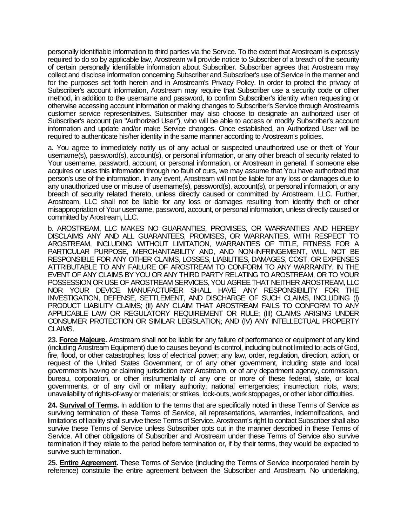personally identifiable information to third parties via the Service. To the extent that Arostream is expressly required to do so by applicable law, Arostream will provide notice to Subscriber of a breach of the security of certain personally identifiable information about Subscriber. Subscriber agrees that Arostream may collect and disclose information concerning Subscriber and Subscriber's use of Service in the manner and for the purposes set forth herein and in Arostream's Privacy Policy. In order to protect the privacy of Subscriber's account information, Arostream may require that Subscriber use a security code or other method, in addition to the username and password, to confirm Subscriber's identity when requesting or otherwise accessing account information or making changes to Subscriber's Service through Arostream's customer service representatives. Subscriber may also choose to designate an authorized user of Subscriber's account (an "Authorized User"), who will be able to access or modify Subscriber's account information and update and/or make Service changes. Once established, an Authorized User will be required to authenticate his/her identity in the same manner according to Arostream's policies.

a. You agree to immediately notify us of any actual or suspected unauthorized use or theft of Your username(s), password(s), account(s), or personal information, or any other breach of security related to Your username, password, account, or personal information, or Arostream in general. If someone else acquires or uses this information through no fault of ours, we may assume that You have authorized that person's use of the information. In any event, Arostream will not be liable for any loss or damages due to any unauthorized use or misuse of username(s), password(s), account(s), or personal information, or any breach of security related thereto, unless directly caused or committed by Arostream, LLC. Further, Arostream, LLC shall not be liable for any loss or damages resulting from identity theft or other misappropriation of Your username, password, account, or personal information, unless directly caused or committed by Arostream, LLC.

b. AROSTREAM, LLC MAKES NO GUARANTIES, PROMISES, OR WARRANTIES AND HEREBY DISCLAIMS ANY AND ALL GUARANTEES, PROMISES, OR WARRANTIES, WITH RESPECT TO AROSTREAM, INCLUDING WITHOUT LIMITATION, WARRANTIES OF TITLE, FITNESS FOR A PARTICULAR PURPOSE, MERCHANTABILITY AND, AND NON-INFRINGEMENT, WILL NOT BE RESPONSIBLE FOR ANY OTHER CLAIMS, LOSSES, LIABILITIES, DAMAGES, COST, OR EXPENSES ATTRIBUTABLE TO ANY FAILURE OF AROSTREAM TO CONFORM TO ANY WARRANTY. IN THE EVENT OF ANY CLAIMS BY YOU OR ANY THIRD PARTY RELATING TO AROSTREAM, OR TO YOUR POSSESSION OR USE OF AROSTREAM SERVICES, YOU AGREE THAT NEITHER AROSTREAM, LLC NOR YOUR DEVICE MANUFACTURER SHALL HAVE ANY RESPONSIBILITY FOR THE INVESTIGATION, DEFENSE, SETTLEMENT, AND DISCHARGE OF SUCH CLAIMS, INCLUDING (I) PRODUCT LIABILITY CLAIMS; (II) ANY CLAIM THAT AROSTREAM FAILS TO CONFORM TO ANY APPLICABLE LAW OR REGULATORY REQUIREMENT OR RULE; (III) CLAIMS ARISING UNDER CONSUMER PROTECTION OR SIMILAR LEGISLATION; AND (IV) ANY INTELLECTUAL PROPERTY CLAIMS.

**23. Force Majeure.** Arostream shall not be liable for any failure of performance or equipment of any kind (including Arostream Equipment) due to causes beyond its control, including but not limited to: acts of God, fire, flood, or other catastrophes; loss of electrical power; any law, order, regulation, direction, action, or request of the United States Government, or of any other government, including state and local governments having or claiming jurisdiction over Arostream, or of any department agency, commission, bureau, corporation, or other instrumentality of any one or more of these federal, state, or local governments, or of any civil or military authority; national emergencies; insurrection; riots, wars; unavailability of rights-of-way or materials; or strikes, lock-outs, work stoppages, or other labor difficulties.

**24. Survival of Terms.** In addition to the terms that are specifically noted in these Terms of Service as surviving termination of these Terms of Service, all representations, warranties, indemnifications, and limitations of liability shall survive these Terms of Service. Arostream's right to contact Subscriber shall also survive these Terms of Service unless Subscriber opts out in the manner described in these Terms of Service. All other obligations of Subscriber and Arostream under these Terms of Service also survive termination if they relate to the period before termination or, if by their terms, they would be expected to survive such termination.

**25. Entire Agreement.** These Terms of Service (including the Terms of Service incorporated herein by reference) constitute the entire agreement between the Subscriber and Arostream. No undertaking,